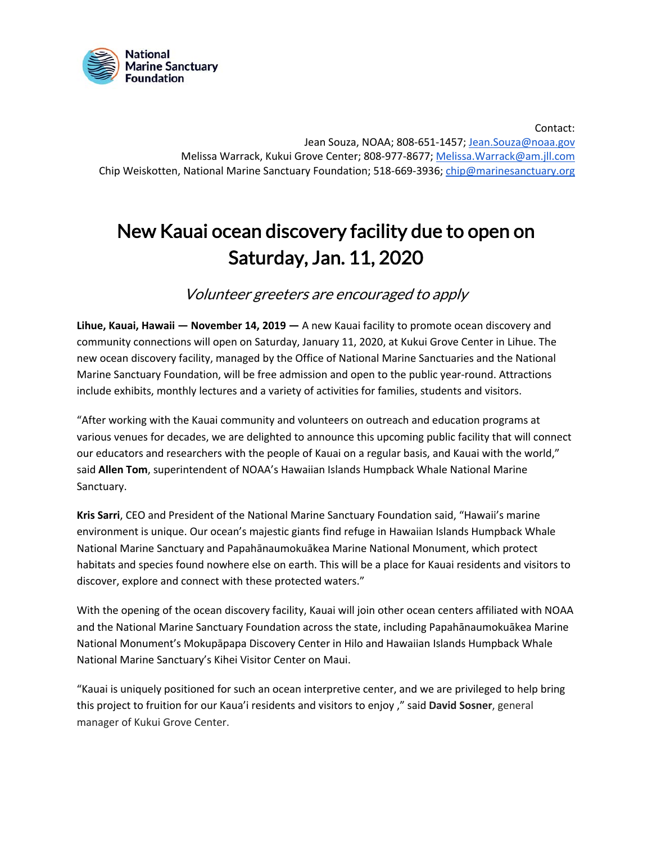

Melissa Warrack, Kukui Grove Center; 808-977-8677; Melissa. Warrack@am.jll.com Chip Weiskotten, National Marine Sanctuary Foundation; 518-669-3936; *[chip@marinesanctuary.org](mailto:chip@marinesanctuary.org)* Contact: Jean Souza, NOAA; 808-651-1457; [Jean.Souza@noaa.gov](mailto:Jean.Souza@noaa.gov)

## New Kauai ocean discovery facility due to open on Saturday, Jan. 11, 2020

Volunteer greeters are encouraged to apply

 **Lihue, Kauai, Hawaii — November 14, 2019 —** A new Kauai facility to promote ocean discovery and community connections will open on Saturday, January 11, 2020, at Kukui Grove Center in Lihue. The new ocean discovery facility, managed by the Office of National Marine Sanctuaries and the National Marine Sanctuary Foundation, will be free admission and open to the public year-round. Attractions include exhibits, monthly lectures and a variety of activities for families, students and visitors.

 various venues for decades, we are delighted to announce this upcoming public facility that will connect our educators and researchers with the people of Kauai on a regular basis, and Kauai with the world," said **Allen Tom**, superintendent of NOAA's Hawaiian Islands Humpback Whale National Marine "After working with the Kauai community and volunteers on outreach and education programs at Sanctuary.

 **Kris Sarri**, CEO and President of the National Marine Sanctuary Foundation said, "Hawaii's marine environment is unique. Our ocean's majestic giants find refuge in Hawaiian Islands Humpback Whale National Marine Sanctuary and Papahānaumokuākea Marine National Monument, which protect habitats and species found nowhere else on earth. This will be a place for Kauai residents and visitors to discover, explore and connect with these protected waters."

 With the opening of the ocean discovery facility, Kauai will join other ocean centers affiliated with NOAA and the National Marine Sanctuary Foundation across the state, including Papahānaumokuākea Marine National Monument's Mokupāpapa Discovery Center in Hilo and Hawaiian Islands Humpback Whale National Marine Sanctuary's Kihei Visitor Center on Maui.

 "Kauai is uniquely positioned for such an ocean interpretive center, and we are privileged to help bring manager of Kukui Grove Center. this project to fruition for our Kaua'i residents and visitors to enjoy ," said **David Sosner**, general